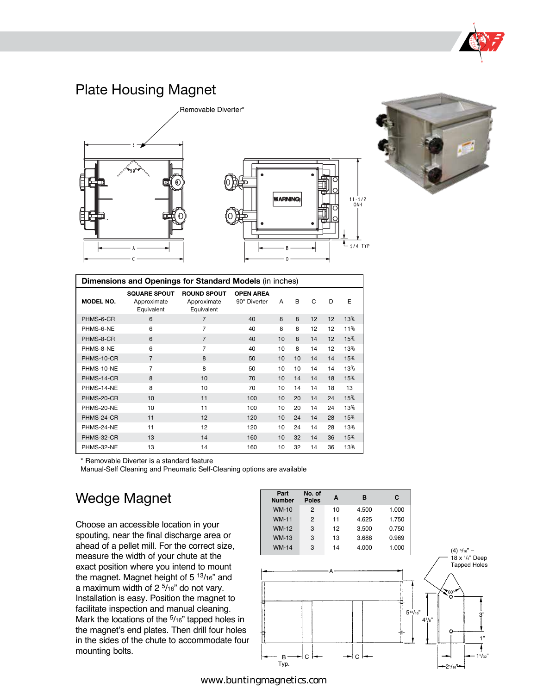

# Plate Housing Magnet





| Dimensions and Openings for Standard Models (in inches) |                                                  |                                                 |                                  |    |    |    |    |                                |
|---------------------------------------------------------|--------------------------------------------------|-------------------------------------------------|----------------------------------|----|----|----|----|--------------------------------|
| <b>MODEL NO.</b>                                        | <b>SQUARE SPOUT</b><br>Approximate<br>Equivalent | <b>ROUND SPOUT</b><br>Approximate<br>Equivalent | <b>OPEN AREA</b><br>90° Diverter | A  | B  | C  | D  | Е                              |
| PHMS-6-CR                                               | 6                                                | $\overline{7}$                                  | 40                               | 8  | 8  | 12 | 12 | 13 <sup>3</sup> / <sub>4</sub> |
| PHMS-6-NE                                               | 6                                                | $\overline{7}$                                  | 40                               | 8  | 8  | 12 | 12 | 11%                            |
| PHMS-8-CR                                               | 6                                                | $\overline{7}$                                  | 40                               | 10 | 8  | 14 | 12 | 15%                            |
| PHMS-8-NE                                               | 6                                                | $\overline{7}$                                  | 40                               | 10 | 8  | 14 | 12 | 13%                            |
| PHMS-10-CR                                              | $\overline{7}$                                   | 8                                               | 50                               | 10 | 10 | 14 | 14 | 15%                            |
| PHMS-10-NE                                              | $\overline{7}$                                   | 8                                               | 50                               | 10 | 10 | 14 | 14 | 13%                            |
| PHMS-14-CR                                              | 8                                                | 10                                              | 70                               | 10 | 14 | 14 | 18 | 15%                            |
| PHMS-14-NE                                              | 8                                                | 10                                              | 70                               | 10 | 14 | 14 | 18 | 13                             |
| PHMS-20-CR                                              | 10                                               | 11                                              | 100                              | 10 | 20 | 14 | 24 | 15%                            |
| PHMS-20-NE                                              | 10                                               | 11                                              | 100                              | 10 | 20 | 14 | 24 | 13%                            |
| PHMS-24-CR                                              | 11                                               | 12                                              | 120                              | 10 | 24 | 14 | 28 | 15%                            |
| PHMS-24-NE                                              | 11                                               | 12                                              | 120                              | 10 | 24 | 14 | 28 | 13%                            |
| PHMS-32-CR                                              | 13                                               | 14                                              | 160                              | 10 | 32 | 14 | 36 | 15%                            |
| PHMS-32-NE                                              | 13                                               | 14                                              | 160                              | 10 | 32 | 14 | 36 | 13%                            |

\* Removable Diverter is a standard feature

Manual-Self Cleaning and Pneumatic Self-Cleaning options are available

# Wedge Magnet

Choose an accessible location in your spouting, near the final discharge area or ahead of a pellet mill. For the correct size, measure the width of your chute at the exact position where you intend to mount the magnet. Magnet height of 5<sup>13</sup>/16" and a maximum width of  $2<sup>5</sup>/16$ " do not vary. Installation is easy. Position the magnet to facilitate inspection and manual cleaning. Mark the locations of the <sup>5</sup>/16" tapped holes in the magnet's end plates. Then drill four holes in the sides of the chute to accommodate four mounting bolts.

| Part<br><b>Number</b> | No. of<br><b>Poles</b> | A  | в     | C     |
|-----------------------|------------------------|----|-------|-------|
| <b>WM-10</b>          | 2                      | 10 | 4.500 | 1.000 |
| <b>WM-11</b>          | $\overline{2}$         | 11 | 4.625 | 1.750 |
| <b>WM-12</b>          | 3                      | 12 | 3.500 | 0.750 |
| <b>WM-13</b>          | 3                      | 13 | 3.688 | 0.969 |
| <b>WM-14</b>          | 3                      | 14 | 4.000 | 1.000 |
|                       |                        |    |       |       |